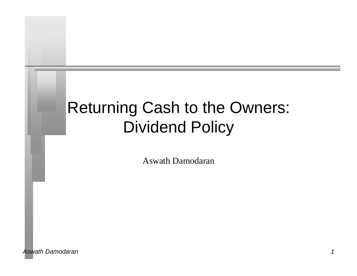# Returning Cash to the Owners: Dividend Policy

Aswath Damodaran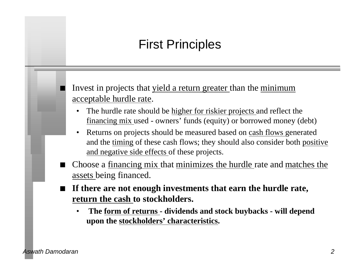# First Principles

Invest in projects that yield a return greater than the minimum acceptable hurdle rate.

- The hurdle rate should be higher for riskier projects and reflect the financing mix used - owners' funds (equity) or borrowed money (debt)
- Returns on projects should be measured based on cash flows generated and the timing of these cash flows; they should also consider both positive and negative side effects of these projects.
- n Choose a financing mix that minimizes the hurdle rate and matches the assets being financed.
- n **If there are not enough investments that earn the hurdle rate, return the cash to stockholders.**
	- • **The form of returns dividends and stock buybacks will depend upon the stockholders' characteristics.**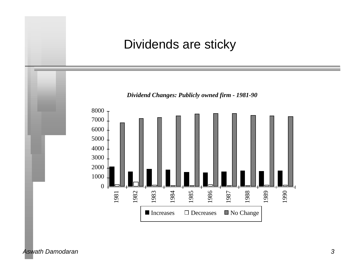#### Dividends are sticky

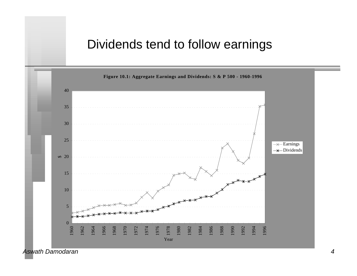### Dividends tend to follow earnings

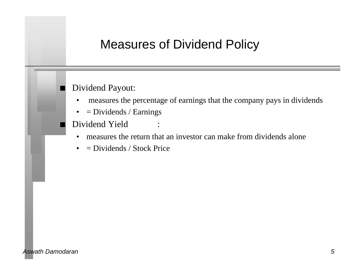### Measures of Dividend Policy

#### Dividend Payout:

- measures the percentage of earnings that the company pays in dividends
- $\bullet$  = Dividends / Earnings
- Dividend Yield
	- measures the return that an investor can make from dividends alone
	- $\bullet$  = Dividends / Stock Price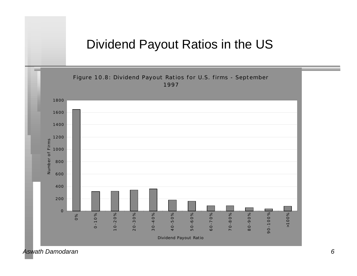#### Dividend Payout Ratios in the US



*Aswath Damodaran 6*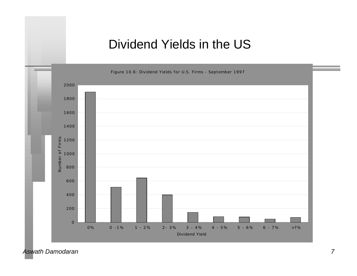#### Dividend Yields in the US

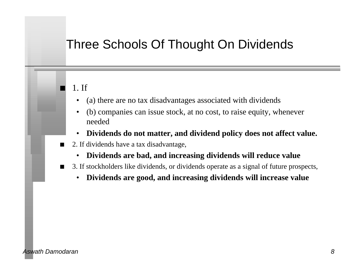### Three Schools Of Thought On Dividends

#### n 1. If

- (a) there are no tax disadvantages associated with dividends
- (b) companies can issue stock, at no cost, to raise equity, whenever needed
- **Dividends do not matter, and dividend policy does not affect value.**
- $\Box$  2. If dividends have a tax disadvantage,
	- **Dividends are bad, and increasing dividends will reduce value**
- 3. If stockholders like dividends, or dividends operate as a signal of future prospects,
	- **Dividends are good, and increasing dividends will increase value**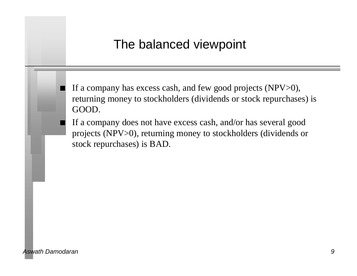#### The balanced viewpoint

If a company has excess cash, and few good projects (NPV>0), returning money to stockholders (dividends or stock repurchases) is GOOD.

If a company does not have excess cash, and/or has several good projects (NPV>0), returning money to stockholders (dividends or stock repurchases) is BAD.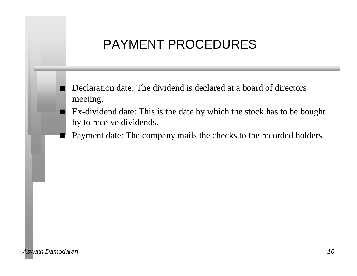# PAYMENT PROCEDURES

- n Declaration date: The dividend is declared at a board of directors meeting.
- Ex-dividend date: This is the date by which the stock has to be bought by to receive dividends.
- Payment date: The company mails the checks to the recorded holders.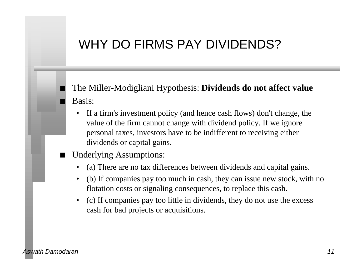# WHY DO FIRMS PAY DIVIDENDS?

#### The Miller-Modigliani Hypothesis: **Dividends do not affect value** Basis:

- If a firm's investment policy (and hence cash flows) don't change, the value of the firm cannot change with dividend policy. If we ignore personal taxes, investors have to be indifferent to receiving either dividends or capital gains.
- Underlying Assumptions:
	- (a) There are no tax differences between dividends and capital gains.
	- (b) If companies pay too much in cash, they can issue new stock, with no flotation costs or signaling consequences, to replace this cash.
	- (c) If companies pay too little in dividends, they do not use the excess cash for bad projects or acquisitions.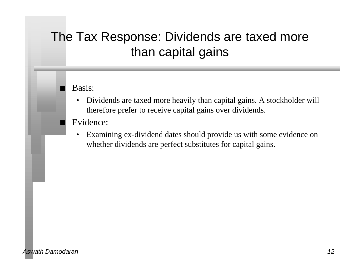# The Tax Response: Dividends are taxed more than capital gains

#### Basis:

• Dividends are taxed more heavily than capital gains. A stockholder will therefore prefer to receive capital gains over dividends.

#### Evidence:

• Examining ex-dividend dates should provide us with some evidence on whether dividends are perfect substitutes for capital gains.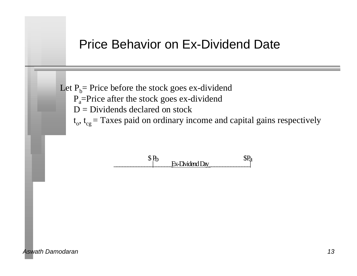#### Price Behavior on Ex-Dividend Date

Let  $P_b$ = Price before the stock goes ex-dividend  $P_{a}$ =Price after the stock goes ex-dividend  $D = Dividends$  declared on stock  $t_o$ ,  $t_{cg}$  = Taxes paid on ordinary income and capital gains respectively

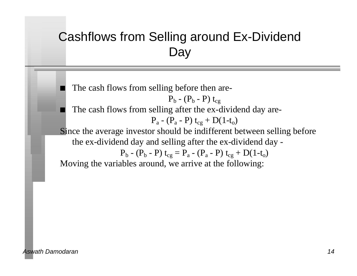# Cashflows from Selling around Ex-Dividend **Day**

The cash flows from selling before then are-

$$
P_b - (P_b - P) t_{cg}
$$

The cash flows from selling after the ex-dividend day are-

$$
P_a - (P_a - P) t_{cg} + D(1-t_o)
$$

Since the average investor should be indifferent between selling before the ex-dividend day and selling after the ex-dividend day -

$$
P_b - (P_b - P) t_{cg} = P_a - (P_a - P) t_{cg} + D(1-t_o)
$$

Moving the variables around, we arrive at the following: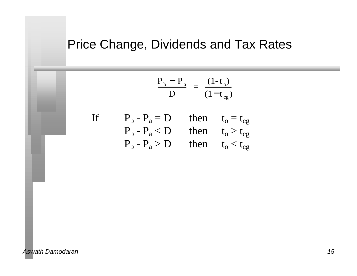# Price Change, Dividends and Tax Rates

$$
\frac{P_b - P_a}{D} = \frac{(1 - t_o)}{(1 - t_{cg})}
$$

If 
$$
P_b - P_a = D
$$
 then  $t_o = t_{cg}$   
\n $P_b - P_a < D$  then  $t_o > t_{cg}$   
\n $P_b - P_a > D$  then  $t_o < t_{cg}$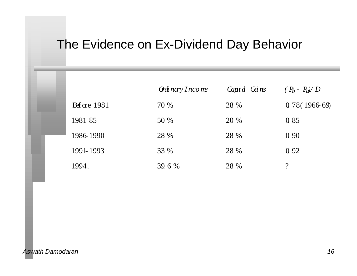### The Evidence on Ex-Dividend Day Behavior

|                      | $\partial$ di nary Income | Capit $d$ Gi ns | $(P_b - P_a)/D$ |
|----------------------|---------------------------|-----------------|-----------------|
| $\text{Bf}$ ore 1981 | 70 %                      | 28 %            | 0.78(196669)    |
| 1981-85              | 50 %                      | 20 %            | Q 85            |
| 1986 1990            | 28 %                      | 28 %            | 0 9 0           |
| 1991-1993            | 33 %                      | 28 %            | 0.92            |
| 1994.                | 39.6 %                    | 28 %            | $\gamma$        |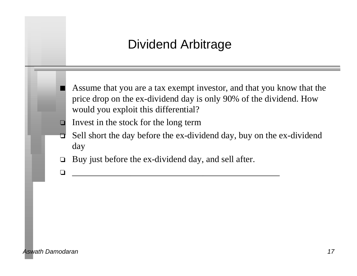### Dividend Arbitrage

- Assume that you are a tax exempt investor, and that you know that the price drop on the ex-dividend day is only 90% of the dividend. How would you exploit this differential?
- $\Box$  Invest in the stock for the long term
- $\Box$  Sell short the day before the ex-dividend day, buy on the ex-dividend day
- $\Box$  Buy just before the ex-dividend day, and sell after.

o \_\_\_\_\_\_\_\_\_\_\_\_\_\_\_\_\_\_\_\_\_\_\_\_\_\_\_\_\_\_\_\_\_\_\_\_\_\_\_\_\_\_\_\_\_\_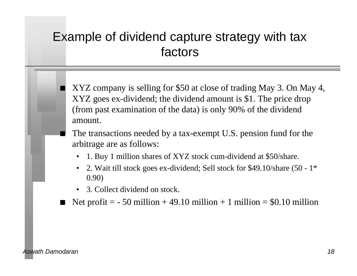# Example of dividend capture strategy with tax factors

- XYZ company is selling for \$50 at close of trading May 3. On May 4, XYZ goes ex-dividend; the dividend amount is \$1. The price drop (from past examination of the data) is only 90% of the dividend amount.
- The transactions needed by a tax-exempt U.S. pension fund for the arbitrage are as follows:
	- 1. Buy 1 million shares of XYZ stock cum-dividend at \$50/share.
	- 2. Wait till stock goes ex-dividend; Sell stock for \$49.10/share (50 1\* 0.90)
	- 3. Collect dividend on stock.
- Net profit  $=$  50 million + 49.10 million + 1 million  $=$  \$0.10 million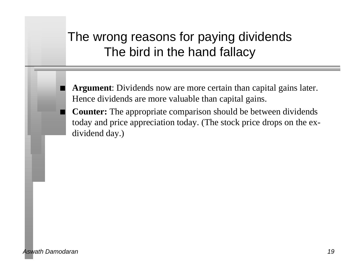# The wrong reasons for paying dividends The bird in the hand fallacy

Argument: Dividends now are more certain than capital gains later. Hence dividends are more valuable than capital gains.

**Counter:** The appropriate comparison should be between dividends today and price appreciation today. (The stock price drops on the exdividend day.)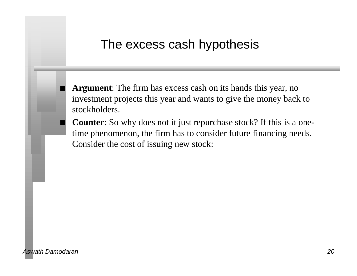#### The excess cash hypothesis

Argument: The firm has excess cash on its hands this year, no investment projects this year and wants to give the money back to stockholders.

**Counter**: So why does not it just repurchase stock? If this is a onetime phenomenon, the firm has to consider future financing needs. Consider the cost of issuing new stock: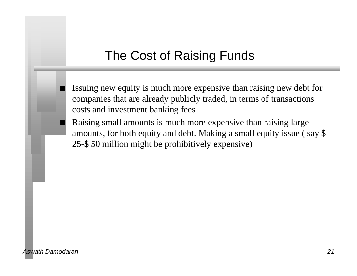# The Cost of Raising Funds

- Issuing new equity is much more expensive than raising new debt for companies that are already publicly traded, in terms of transactions costs and investment banking fees
- Raising small amounts is much more expensive than raising large amounts, for both equity and debt. Making a small equity issue ( say \$ 25-\$ 50 million might be prohibitively expensive)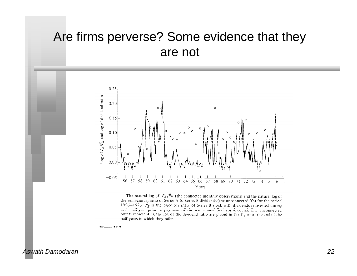### Are firms perverse? Some evidence that they are not



The natural log of  $P_A/\hat{P}_B$  (the connected monthly observations) and the natural log of the semi-annual ratio of Series A to Series B dividends (the unconnected 0's) for the period 1956–1976.  $\hat{P}_B$  is the price per share of Series B stock with dividends reinvested during each half-year prior to payment of the semi-annual Series A dividend. The unconnected points representing the log of the dividend ratio are placed in the figure at the end of the half-years to which they refer.

 $\Gamma$   $\Gamma$   $\Gamma$   $\Gamma$   $\Gamma$   $\Gamma$   $\Gamma$   $\Gamma$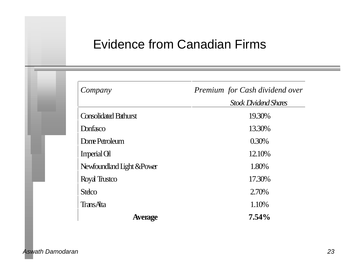### Evidence from Canadian Firms

| Company                      | Premium for Cash dividend over |  |  |
|------------------------------|--------------------------------|--|--|
|                              | <b>Stock Dividend Shares</b>   |  |  |
| <b>Consolidated Bathurst</b> | 19.30%                         |  |  |
| Donfasco                     | 13.30%                         |  |  |
| Dome Petroleum               | 0.30%                          |  |  |
| Imperial Gl                  | 12.10%                         |  |  |
| Newfoundland Light & Power   | 1.80%                          |  |  |
| Royal Trustco                | 17.30%                         |  |  |
| <b>Steco</b>                 | 2.70%                          |  |  |
| <b>TransAta</b>              | 1.10%                          |  |  |
| <b>Average</b>               | $7.54\%$                       |  |  |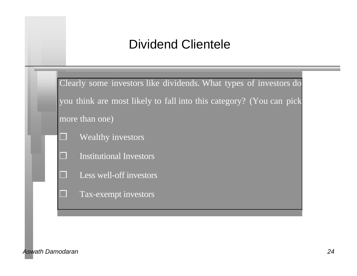# Dividend Clientele

Clearly some investors like dividends. What types of investors do you think are most likely to fall into this category? (You can pick more than one)

- ❒ Wealthy investors
- ❒ Institutional Investors
- ❒ Less well-off investors
	- Tax-exempt investors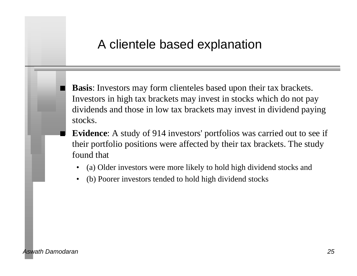#### A clientele based explanation

**Basis**: Investors may form clienteles based upon their tax brackets. Investors in high tax brackets may invest in stocks which do not pay dividends and those in low tax brackets may invest in dividend paying stocks.

- **Evidence**: A study of 914 investors' portfolios was carried out to see if their portfolio positions were affected by their tax brackets. The study found that
	- (a) Older investors were more likely to hold high dividend stocks and
	- (b) Poorer investors tended to hold high dividend stocks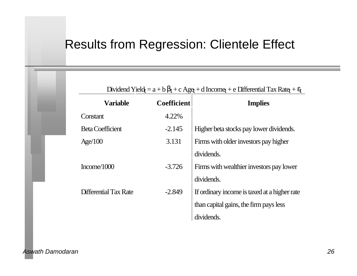#### Results from Regression: Clientele Effect

Dividend Yieldt =  $a + b$  t + c Aget + d Incomet + e Differential Tax Ratet + t

| <b>Variable</b>              | <b>Coefficient</b> | <b>Implies</b>                               |
|------------------------------|--------------------|----------------------------------------------|
| Constant                     | 4.22%              |                                              |
| <b>Beta Coefficient</b>      | $-2.145$           | Higher beta stocks pay lower dividends.      |
| Age/100                      | 3.131              | Firms with older investors pay higher        |
|                              |                    | dividends.                                   |
| Income/1000                  | $-3.726$           | Firms with wealthier investors pay lower     |
|                              |                    | dividends.                                   |
| <b>Differential Tax Rate</b> | $-2.849$           | If ordinary income is taxed at a higher rate |
|                              |                    | than capital gains, the firm pays less       |
|                              |                    | dividends.                                   |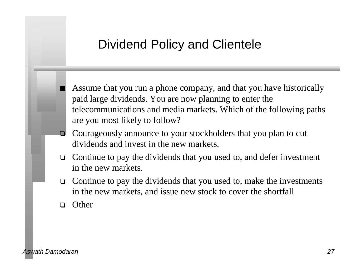#### Dividend Policy and Clientele

Assume that you run a phone company, and that you have historically paid large dividends. You are now planning to enter the telecommunications and media markets. Which of the following paths are you most likely to follow?

- $\Box$  Courageously announce to your stockholders that you plan to cut dividends and invest in the new markets.
- $\Box$  Continue to pay the dividends that you used to, and defer investment in the new markets.
- $\Box$  Continue to pay the dividends that you used to, make the investments in the new markets, and issue new stock to cover the shortfall
- $\Box$  Other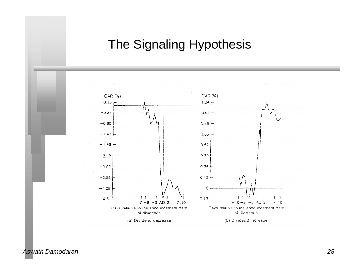# The Signaling Hypothesis

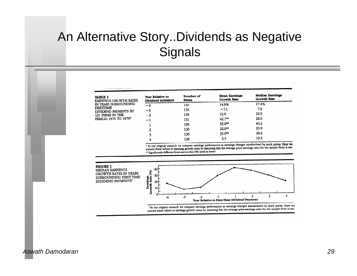# An Alternative Story..Dividends as Negative **Signals**

| <b>TABLE 1</b><br><b>FARNINGS GROWTH RATES</b><br>IN YEARS SURROUNDING<br><b>FIRST-TIME</b><br>DIVIDEND PAYMENTS BY<br>131 FIRMS IN THE<br>PERIOD 1970 TO 1979* | Year Relative to<br>Dividend Initiation | Number of<br><b>Firms</b> | <b>Mean Earnings</b><br>Growth Rate | <b>Median Earnings</b><br>Growth Rate |
|-----------------------------------------------------------------------------------------------------------------------------------------------------------------|-----------------------------------------|---------------------------|-------------------------------------|---------------------------------------|
|                                                                                                                                                                 | -4                                      | 130                       | 14.9%                               | 17.4%                                 |
|                                                                                                                                                                 | -3                                      | 129                       | $-7.1$                              | 7.6                                   |
|                                                                                                                                                                 | $-2$                                    | 128                       | 12.9                                | 10.5                                  |
|                                                                                                                                                                 | $-1$                                    | 131                       | $42.7***$                           | 28.0                                  |
|                                                                                                                                                                 |                                         | 130                       | 55.0**                              | 40.2                                  |
|                                                                                                                                                                 | $\mathbf{2}$                            | 130                       | 22.0**                              | 35.9                                  |
|                                                                                                                                                                 |                                         | 130                       | $35.0***$                           | 28.2                                  |
|                                                                                                                                                                 |                                         | 128                       | 3.5                                 | 19.5                                  |

.<br>In our original research we compute earnings performance as earnings changes standardized by stock prices. Here we • In our original research we compute earnings performance as earnings changes statisticated by slock prices. There we<br>convert these values to earnings growth rates by assuming that the average price earnings ratio for the \*\* Significantly different from zero at the 10% level or lower.

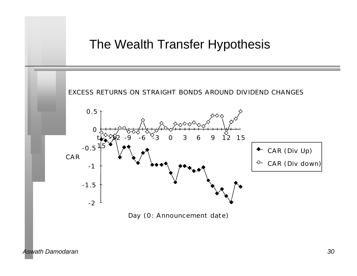#### The Wealth Transfer Hypothesis

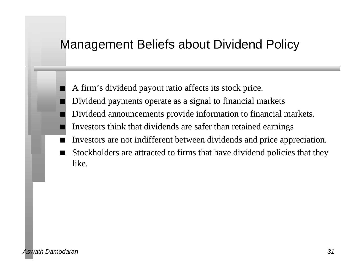#### Management Beliefs about Dividend Policy

- A firm's dividend payout ratio affects its stock price.
- Dividend payments operate as a signal to financial markets
- Dividend announcements provide information to financial markets.
- n Investors think that dividends are safer than retained earnings
- Investors are not indifferent between dividends and price appreciation.
- Stockholders are attracted to firms that have dividend policies that they like.